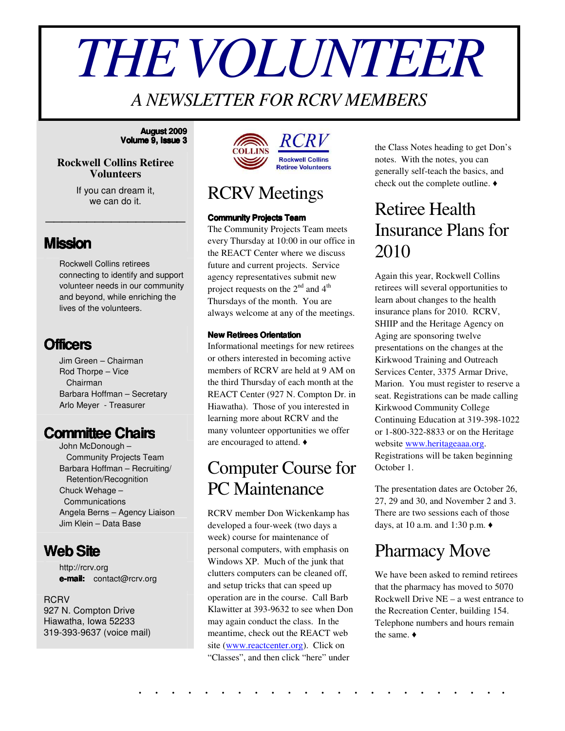# *THEVOLUNTEER*

### *A NEWSLETTER FOR RCRV MEMBERS*

#### **August 2009 Volume 9, Issue 3**

#### **Rockwell Collins Retiree Volunteers**

If you can dream it, we can do it.

\_\_\_\_\_\_\_\_\_\_\_\_\_\_\_\_\_

#### **Mission**

Rockwell Collins retirees connecting to identify and support volunteer needs in our community and beyond, while enriching the lives of the volunteers.

#### **Officers**

Jim Green – Chairman Rod Thorpe – Vice Chairman Barbara Hoffman – Secretary Arlo Meyer - Treasurer

#### **Committee Chairs**

John McDonough – Community Projects Team Barbara Hoffman – Recruiting/ Retention/Recognition Chuck Wehage – Communications Angela Berns – Agency Liaison Jim Klein – Data Base

#### **WebSite**

http://rcrv.org **e-mail:** contact@rcrv.org

#### **RCRV** 927 N. Compton Drive Hiawatha, Iowa 52233 319-393-9637 (voice mail)



#### RCRV Meetings

#### **Community Projects Team**

The Community Projects Team meets every Thursday at 10:00 in our office in the REACT Center where we discuss future and current projects. Service agency representatives submit new project requests on the  $2^{nd}$  and  $4^{th}$ Thursdays of the month. You are always welcome at any of the meetings.

#### **New Retirees Orientation**

Informational meetings for new retirees or others interested in becoming active members of RCRV are held at 9 AM on the third Thursday of each month at the REACT Center (927 N. Compton Dr. in Hiawatha). Those of you interested in learning more about RCRV and the many volunteer opportunities we offer are encouraged to attend.

## Computer Course for PC Maintenance

RCRV member Don Wickenkamp has developed a four-week (two days a week) course for maintenance of personal computers, with emphasis on Windows XP. Much of the junk that clutters computers can be cleaned off, and setup tricks that can speed up operation are in the course. Call Barb Klawitter at 393-9632 to see when Don may again conduct the class. In the meantime, check out the REACT web site (www.reactcenter.org). Click on "Classes", and then click "here" under

. . . . . . . . . . . . . . . . . . . . . . .

the Class Notes heading to get Don's notes. With the notes, you can generally self-teach the basics, and check out the complete outline.

## Retiree Health Insurance Plans for 2010

Again this year, Rockwell Collins retirees will several opportunities to learn about changes to the health insurance plans for 2010. RCRV, SHIIP and the Heritage Agency on Aging are sponsoring twelve presentations on the changes at the Kirkwood Training and Outreach Services Center, 3375 Armar Drive, Marion. You must register to reserve a seat. Registrations can be made calling Kirkwood Community College Continuing Education at 319-398-1022 or 1-800-322-8833 or on the Heritage website www.heritageaaa.org. Registrations will be taken beginning October 1.

The presentation dates are October 26, 27, 29 and 30, and November 2 and 3. There are two sessions each of those days, at 10 a.m. and 1:30 p.m.

## Pharmacy Move

We have been asked to remind retirees that the pharmacy has moved to 5070 Rockwell Drive NE – a west entrance to the Recreation Center, building 154. Telephone numbers and hours remain the same.  $\triangleleft$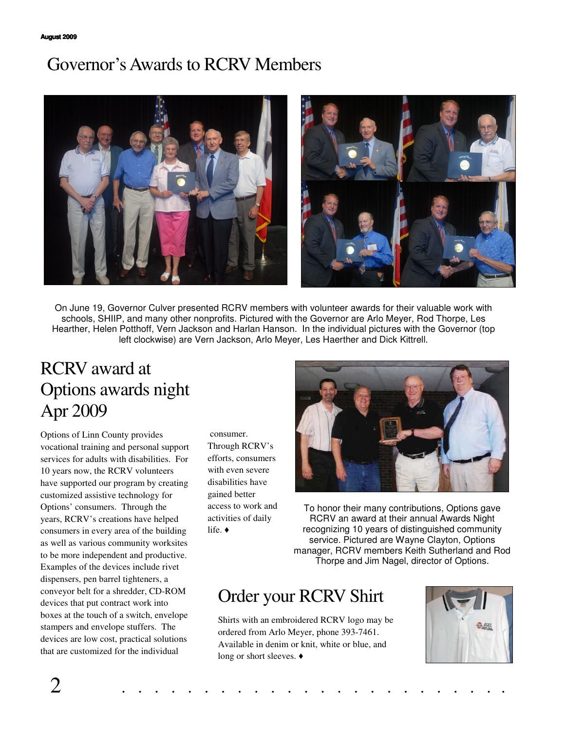## Governor'sAwards to RCRV Members



On June 19, Governor Culver presented RCRV members with volunteer awards for their valuable work with schools, SHIIP, and many other nonprofits. Pictured with the Governor are Arlo Meyer, Rod Thorpe, Les Hearther, Helen Potthoff, Vern Jackson and Harlan Hanson. In the individual pictures with the Governor (top left clockwise) are Vern Jackson, Arlo Meyer, Les Haerther and Dick Kittrell.

## RCRV award at Options awards night Apr 2009

Options of Linn County provides vocational training and personal support services for adults with disabilities. For 10 years now, the RCRV volunteers have supported our program by creating customized assistive technology for Options' consumers. Through the years, RCRV's creations have helped consumers in every area of the building as well as various community worksites to be more independent and productive. Examples of the devices include rivet dispensers, pen barrel tighteners, a conveyor belt for a shredder, CD-ROM devices that put contract work into boxes at the touch of a switch, envelope stampers and envelope stuffers. The devices are low cost, practical solutions that are customized for the individual

consumer. Through RCRV's efforts, consumers with even severe disabilities have gained better access to work and activities of daily life.  $\triangleleft$ 



To honor their many contributions, Options gave RCRV an award at their annual Awards Night recognizing 10 years of distinguished community service. Pictured are Wayne Clayton, Options manager, RCRV members Keith Sutherland and Rod Thorpe and Jim Nagel, director of Options.

## Order your RCRV Shirt

Shirts with an embroidered RCRV logo may be ordered from Arlo Meyer, phone 393-7461. Available in denim or knit, white or blue, and long or short sleeves. ♦

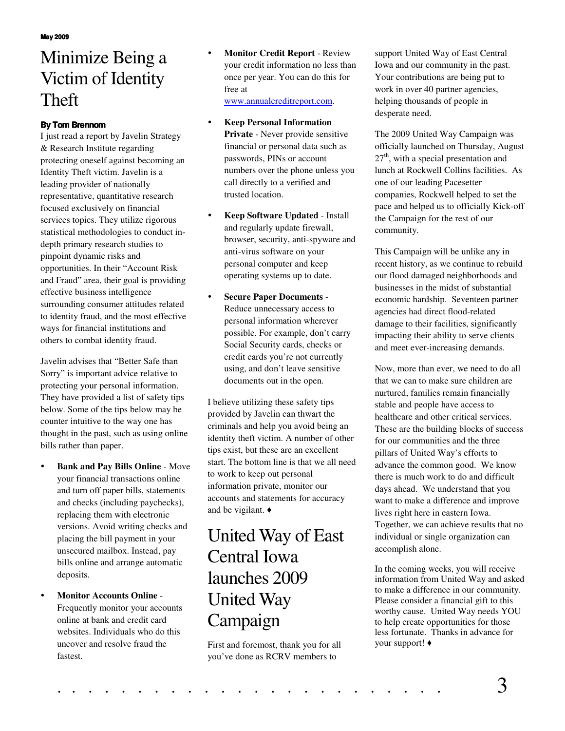## Minimize Being a Victim of Identity Theft

#### **By Tom Brennom**

I just read a report by Javelin Strategy & Research Institute regarding protecting oneself against becoming an Identity Theft victim. Javelin is a leading provider of nationally representative, quantitative research focused exclusively on financial services topics. They utilize rigorous statistical methodologies to conduct indepth primary research studies to pinpoint dynamic risks and opportunities. In their "Account Risk and Fraud" area, their goal is providing effective business intelligence surrounding consumer attitudes related to identity fraud, and the most effective ways for financial institutions and others to combat identity fraud.

Javelin advises that "Better Safe than Sorry" is important advice relative to protecting your personal information. They have provided a list of safety tips below. Some of the tips below may be counter intuitive to the way one has thought in the past, such as using online bills rather than paper.

- **Bank and Pay Bills Online** Move your financial transactions online and turn off paper bills, statements and checks (including paychecks), replacing them with electronic versions. Avoid writing checks and placing the bill payment in your unsecured mailbox. Instead, pay bills online and arrange automatic deposits.
- **Monitor Accounts Online** Frequently monitor your accounts online at bank and credit card websites. Individuals who do this uncover and resolve fraud the fastest.
- **Monitor Credit Report** Review your credit information no less than once per year. You can do this for free at www.annualcreditreport.com.
- **Keep Personal Information Private** - Never provide sensitive financial or personal data such as passwords, PINs or account numbers over the phone unless you call directly to a verified and trusted location.
- **Keep Software Updated** Install and regularly update firewall, browser, security, anti-spyware and anti-virus software on your personal computer and keep operating systems up to date.
- **Secure Paper Documents** Reduce unnecessary access to personal information wherever possible. For example, don't carry Social Security cards, checks or credit cards you're not currently using, and don't leave sensitive documents out in the open.

I believe utilizing these safety tips provided by Javelin can thwart the criminals and help you avoid being an identity theft victim. A number of other tips exist, but these are an excellent start. The bottom line is that we all need to work to keep out personal information private, monitor our accounts and statements for accuracy and be vigilant.

## United Way of East Central Iowa launches 2009 United Way Campaign

First and foremost, thank you for all you've done as RCRV members to

support United Way of East Central Iowa and our community in the past. Your contributions are being put to work in over 40 partner agencies, helping thousands of people in desperate need.

The 2009 United Way Campaign was officially launched on Thursday, August 27<sup>th</sup>, with a special presentation and lunch at Rockwell Collins facilities. As one of our leading Pacesetter companies, Rockwell helped to set the pace and helped us to officially Kick-off the Campaign for the rest of our community.

This Campaign will be unlike any in recent history, as we continue to rebuild our flood damaged neighborhoods and businesses in the midst of substantial economic hardship. Seventeen partner agencies had direct flood-related damage to their facilities, significantly impacting their ability to serve clients and meet ever-increasing demands.

Now, more than ever, we need to do all that we can to make sure children are nurtured, families remain financially stable and people have access to healthcare and other critical services. These are the building blocks of success for our communities and the three pillars of United Way's efforts to advance the common good. We know there is much work to do and difficult days ahead. We understand that you want to make a difference and improve lives right here in eastern Iowa. Together, we can achieve results that no individual or single organization can accomplish alone.

In the coming weeks, you will receive information from United Way and asked to make a difference in our community. Please consider a financial gift to this worthy cause. United Way needs YOU to help create opportunities for those less fortunate. Thanks in advance for your support!

# . . . . . . . . . . . . . . . . . . . . . . . . 3